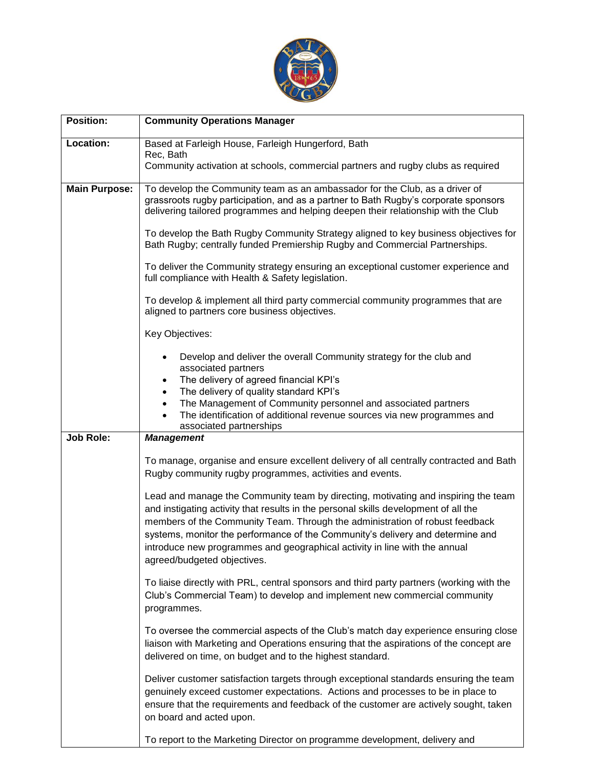

| <b>Position:</b>     | <b>Community Operations Manager</b>                                                                                                                                                                                                                                                                                                                                                                                                                      |
|----------------------|----------------------------------------------------------------------------------------------------------------------------------------------------------------------------------------------------------------------------------------------------------------------------------------------------------------------------------------------------------------------------------------------------------------------------------------------------------|
| Location:            | Based at Farleigh House, Farleigh Hungerford, Bath                                                                                                                                                                                                                                                                                                                                                                                                       |
|                      | Rec, Bath<br>Community activation at schools, commercial partners and rugby clubs as required                                                                                                                                                                                                                                                                                                                                                            |
|                      |                                                                                                                                                                                                                                                                                                                                                                                                                                                          |
| <b>Main Purpose:</b> | To develop the Community team as an ambassador for the Club, as a driver of<br>grassroots rugby participation, and as a partner to Bath Rugby's corporate sponsors<br>delivering tailored programmes and helping deepen their relationship with the Club                                                                                                                                                                                                 |
|                      | To develop the Bath Rugby Community Strategy aligned to key business objectives for<br>Bath Rugby; centrally funded Premiership Rugby and Commercial Partnerships.                                                                                                                                                                                                                                                                                       |
|                      | To deliver the Community strategy ensuring an exceptional customer experience and<br>full compliance with Health & Safety legislation.                                                                                                                                                                                                                                                                                                                   |
|                      | To develop & implement all third party commercial community programmes that are<br>aligned to partners core business objectives.                                                                                                                                                                                                                                                                                                                         |
|                      | Key Objectives:                                                                                                                                                                                                                                                                                                                                                                                                                                          |
|                      | Develop and deliver the overall Community strategy for the club and<br>associated partners<br>The delivery of agreed financial KPI's<br>٠                                                                                                                                                                                                                                                                                                                |
|                      | The delivery of quality standard KPI's<br>$\bullet$<br>The Management of Community personnel and associated partners<br>$\bullet$                                                                                                                                                                                                                                                                                                                        |
|                      | The identification of additional revenue sources via new programmes and                                                                                                                                                                                                                                                                                                                                                                                  |
| <b>Job Role:</b>     | associated partnerships<br><b>Management</b>                                                                                                                                                                                                                                                                                                                                                                                                             |
|                      | To manage, organise and ensure excellent delivery of all centrally contracted and Bath<br>Rugby community rugby programmes, activities and events.                                                                                                                                                                                                                                                                                                       |
|                      | Lead and manage the Community team by directing, motivating and inspiring the team<br>and instigating activity that results in the personal skills development of all the<br>members of the Community Team. Through the administration of robust feedback<br>systems, monitor the performance of the Community's delivery and determine and<br>introduce new programmes and geographical activity in line with the annual<br>agreed/budgeted objectives. |
|                      | To liaise directly with PRL, central sponsors and third party partners (working with the<br>Club's Commercial Team) to develop and implement new commercial community<br>programmes.                                                                                                                                                                                                                                                                     |
|                      | To oversee the commercial aspects of the Club's match day experience ensuring close<br>liaison with Marketing and Operations ensuring that the aspirations of the concept are<br>delivered on time, on budget and to the highest standard.                                                                                                                                                                                                               |
|                      | Deliver customer satisfaction targets through exceptional standards ensuring the team<br>genuinely exceed customer expectations. Actions and processes to be in place to<br>ensure that the requirements and feedback of the customer are actively sought, taken<br>on board and acted upon.                                                                                                                                                             |
|                      | To report to the Marketing Director on programme development, delivery and                                                                                                                                                                                                                                                                                                                                                                               |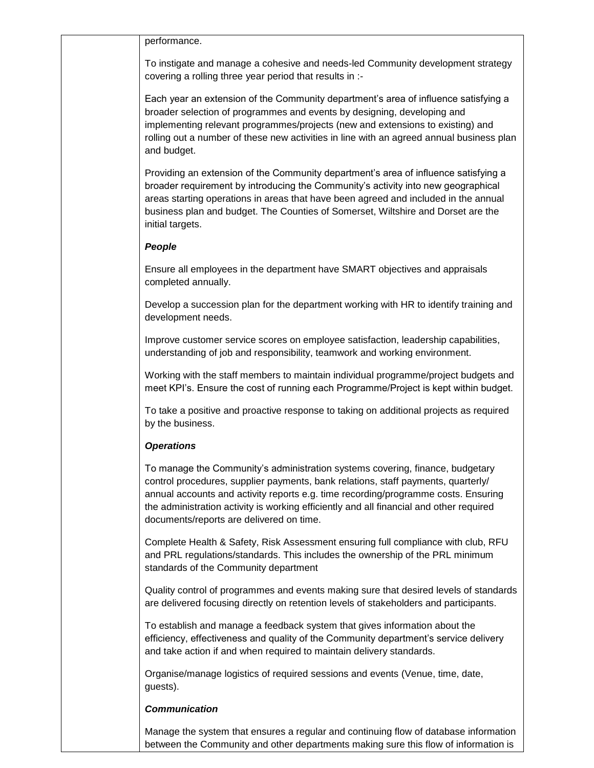performance.

To instigate and manage a cohesive and needs-led Community development strategy covering a rolling three year period that results in :-

Each year an extension of the Community department's area of influence satisfying a broader selection of programmes and events by designing, developing and implementing relevant programmes/projects (new and extensions to existing) and rolling out a number of these new activities in line with an agreed annual business plan and budget.

Providing an extension of the Community department's area of influence satisfying a broader requirement by introducing the Community's activity into new geographical areas starting operations in areas that have been agreed and included in the annual business plan and budget. The Counties of Somerset, Wiltshire and Dorset are the initial targets.

## *People*

Ensure all employees in the department have SMART objectives and appraisals completed annually.

Develop a succession plan for the department working with HR to identify training and development needs.

Improve customer service scores on employee satisfaction, leadership capabilities, understanding of job and responsibility, teamwork and working environment.

Working with the staff members to maintain individual programme/project budgets and meet KPI's. Ensure the cost of running each Programme/Project is kept within budget.

To take a positive and proactive response to taking on additional projects as required by the business.

## *Operations*

To manage the Community's administration systems covering, finance, budgetary control procedures, supplier payments, bank relations, staff payments, quarterly/ annual accounts and activity reports e.g. time recording/programme costs. Ensuring the administration activity is working efficiently and all financial and other required documents/reports are delivered on time.

Complete Health & Safety, Risk Assessment ensuring full compliance with club, RFU and PRL regulations/standards. This includes the ownership of the PRL minimum standards of the Community department

Quality control of programmes and events making sure that desired levels of standards are delivered focusing directly on retention levels of stakeholders and participants.

To establish and manage a feedback system that gives information about the efficiency, effectiveness and quality of the Community department's service delivery and take action if and when required to maintain delivery standards.

Organise/manage logistics of required sessions and events (Venue, time, date, guests).

## *Communication*

Manage the system that ensures a regular and continuing flow of database information between the Community and other departments making sure this flow of information is